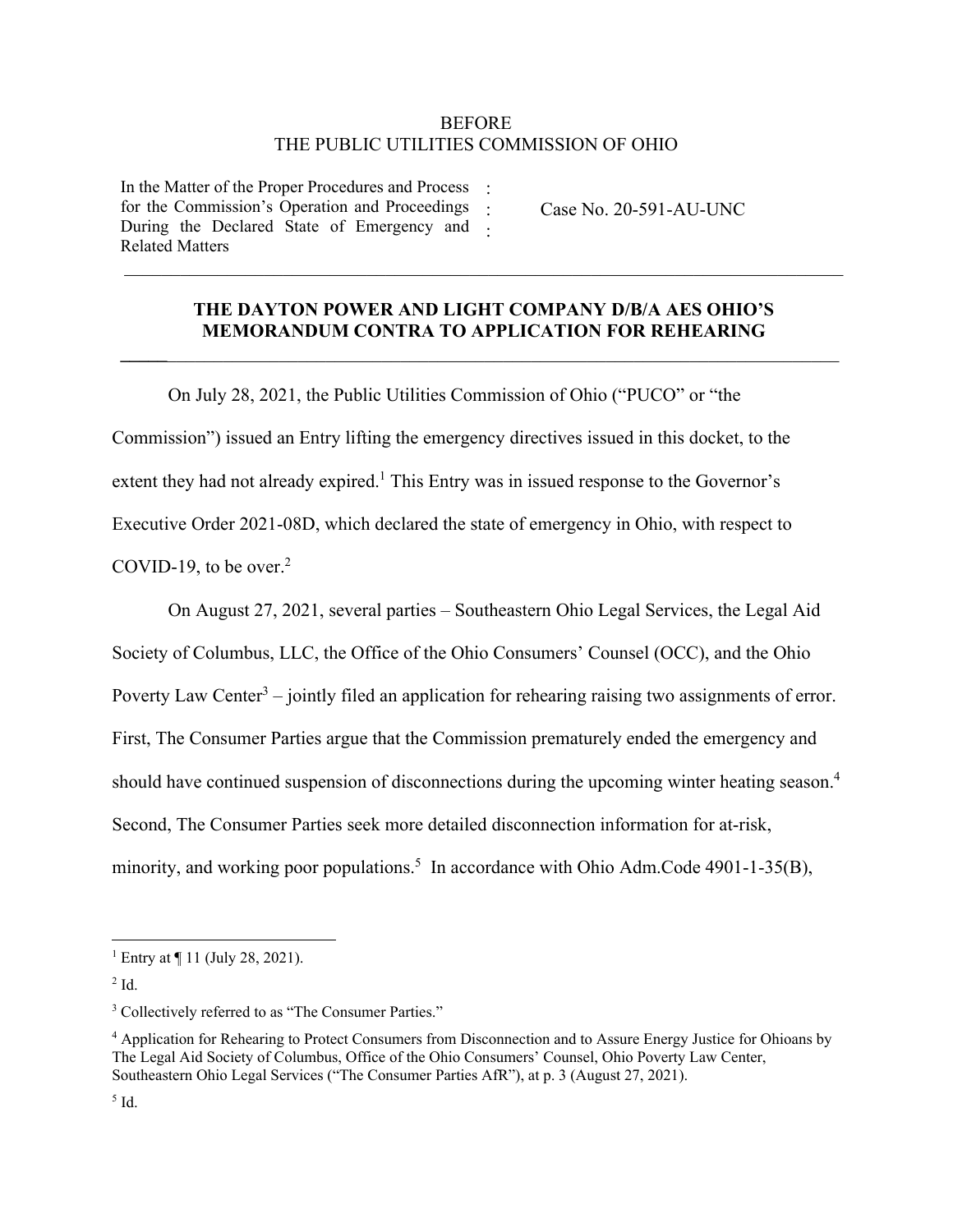## BEFORE THE PUBLIC UTILITIES COMMISSION OF OHIO

In the Matter of the Proper Procedures and Process : for the Commission's Operation and Proceedings During the Declared State of Emergency and Related Matters

Case No. 20-591-AU-UNC

## **THE DAYTON POWER AND LIGHT COMPANY D/B/A AES OHIO'S MEMORANDUM CONTRA TO APPLICATION FOR REHEARING**

**\_\_\_\_\_**\_\_\_\_\_\_\_\_\_\_\_\_\_\_\_\_\_\_\_\_\_\_\_\_\_\_\_\_\_\_\_\_\_\_\_\_\_\_\_\_\_\_\_\_\_\_\_\_\_\_\_\_\_\_\_\_\_\_\_\_\_\_\_\_\_\_\_\_\_\_\_\_

: :

On July 28, 2021, the Public Utilities Commission of Ohio ("PUCO" or "the Commission") issued an Entry lifting the emergency directives issued in this docket, to the extent they had not already expired.<sup>1</sup> This Entry was in issued response to the Governor's Executive Order 2021-08D, which declared the state of emergency in Ohio, with respect to COVID-19, to be over. $2$ 

On August 27, 2021, several parties – Southeastern Ohio Legal Services, the Legal Aid Society of Columbus, LLC, the Office of the Ohio Consumers' Counsel (OCC), and the Ohio Poverty Law Center<sup>3</sup> – jointly filed an application for rehearing raising two assignments of error. First, The Consumer Parties argue that the Commission prematurely ended the emergency and should have continued suspension of disconnections during the upcoming winter heating season.<sup>4</sup> Second, The Consumer Parties seek more detailed disconnection information for at-risk, minority, and working poor populations.<sup>5</sup> In accordance with Ohio Adm.Code 4901-1-35(B),

<sup>1</sup> Entry at ¶ 11 (July 28, 2021).

 $2$  Id.

<sup>&</sup>lt;sup>3</sup> Collectively referred to as "The Consumer Parties."

<sup>4</sup> Application for Rehearing to Protect Consumers from Disconnection and to Assure Energy Justice for Ohioans by The Legal Aid Society of Columbus, Office of the Ohio Consumers' Counsel, Ohio Poverty Law Center, Southeastern Ohio Legal Services ("The Consumer Parties AfR"), at p. 3 (August 27, 2021).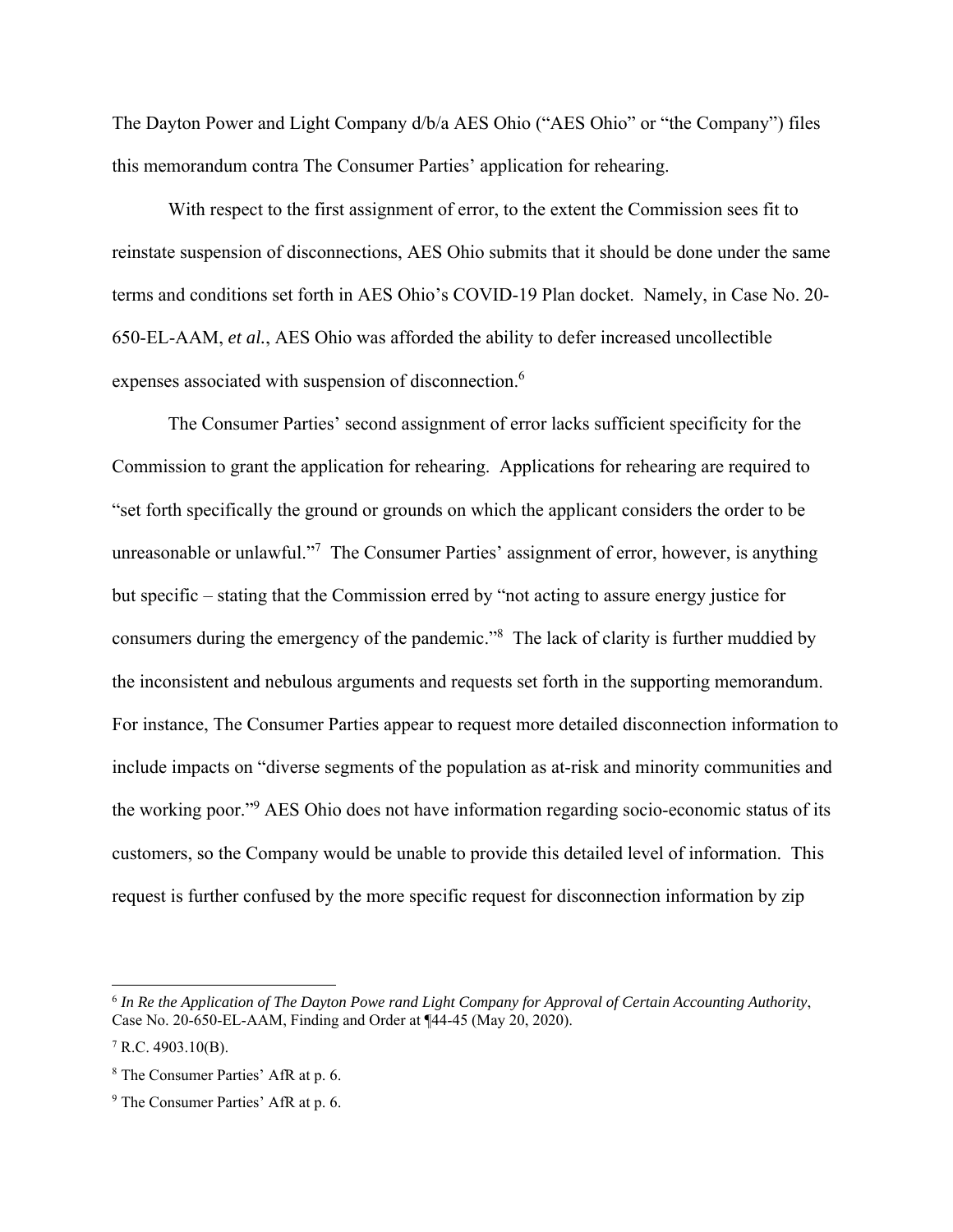The Dayton Power and Light Company d/b/a AES Ohio ("AES Ohio" or "the Company") files this memorandum contra The Consumer Parties' application for rehearing.

With respect to the first assignment of error, to the extent the Commission sees fit to reinstate suspension of disconnections, AES Ohio submits that it should be done under the same terms and conditions set forth in AES Ohio's COVID-19 Plan docket. Namely, in Case No. 20- 650-EL-AAM, *et al.*, AES Ohio was afforded the ability to defer increased uncollectible expenses associated with suspension of disconnection.<sup>6</sup>

The Consumer Parties' second assignment of error lacks sufficient specificity for the Commission to grant the application for rehearing. Applications for rehearing are required to "set forth specifically the ground or grounds on which the applicant considers the order to be unreasonable or unlawful."<sup>7</sup> The Consumer Parties' assignment of error, however, is anything but specific – stating that the Commission erred by "not acting to assure energy justice for consumers during the emergency of the pandemic."<sup>8</sup> The lack of clarity is further muddied by the inconsistent and nebulous arguments and requests set forth in the supporting memorandum. For instance, The Consumer Parties appear to request more detailed disconnection information to include impacts on "diverse segments of the population as at-risk and minority communities and the working poor."9 AES Ohio does not have information regarding socio-economic status of its customers, so the Company would be unable to provide this detailed level of information. This request is further confused by the more specific request for disconnection information by zip

<sup>6</sup> *In Re the Application of The Dayton Powe rand Light Company for Approval of Certain Accounting Authority*, Case No. 20-650-EL-AAM, Finding and Order at ¶44-45 (May 20, 2020).

 $7$  R.C. 4903.10(B).

<sup>8</sup> The Consumer Parties' AfR at p. 6.

<sup>&</sup>lt;sup>9</sup> The Consumer Parties' AfR at p. 6.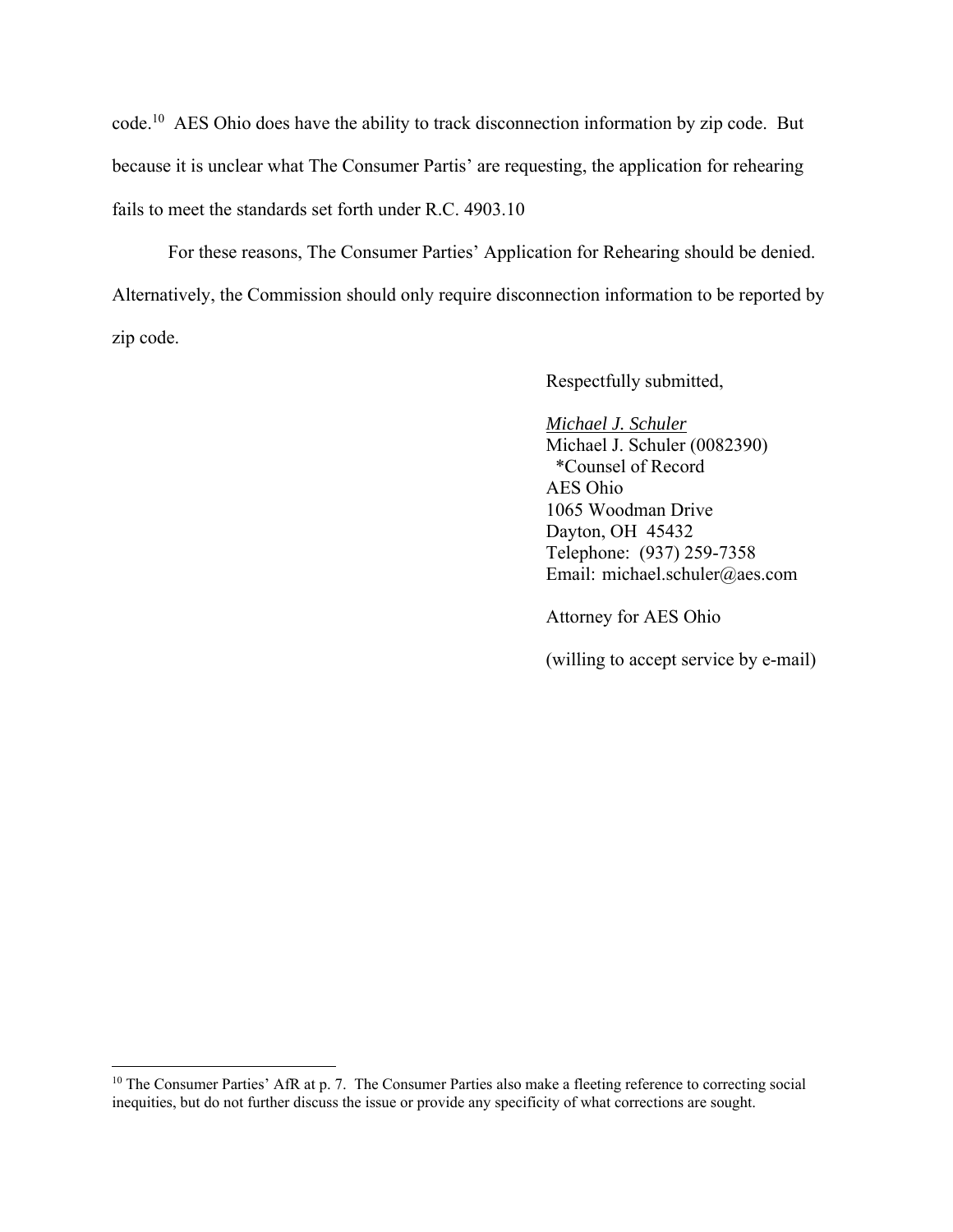code.10 AES Ohio does have the ability to track disconnection information by zip code. But because it is unclear what The Consumer Partis' are requesting, the application for rehearing fails to meet the standards set forth under R.C. 4903.10

For these reasons, The Consumer Parties' Application for Rehearing should be denied. Alternatively, the Commission should only require disconnection information to be reported by zip code.

Respectfully submitted,

*Michael J. Schuler*  Michael J. Schuler (0082390) \*Counsel of Record AES Ohio 1065 Woodman Drive Dayton, OH 45432 Telephone: (937) 259-7358 Email: michael.schuler@aes.com

Attorney for AES Ohio

(willing to accept service by e-mail)

<sup>&</sup>lt;sup>10</sup> The Consumer Parties' AfR at p. 7. The Consumer Parties also make a fleeting reference to correcting social inequities, but do not further discuss the issue or provide any specificity of what corrections are sought.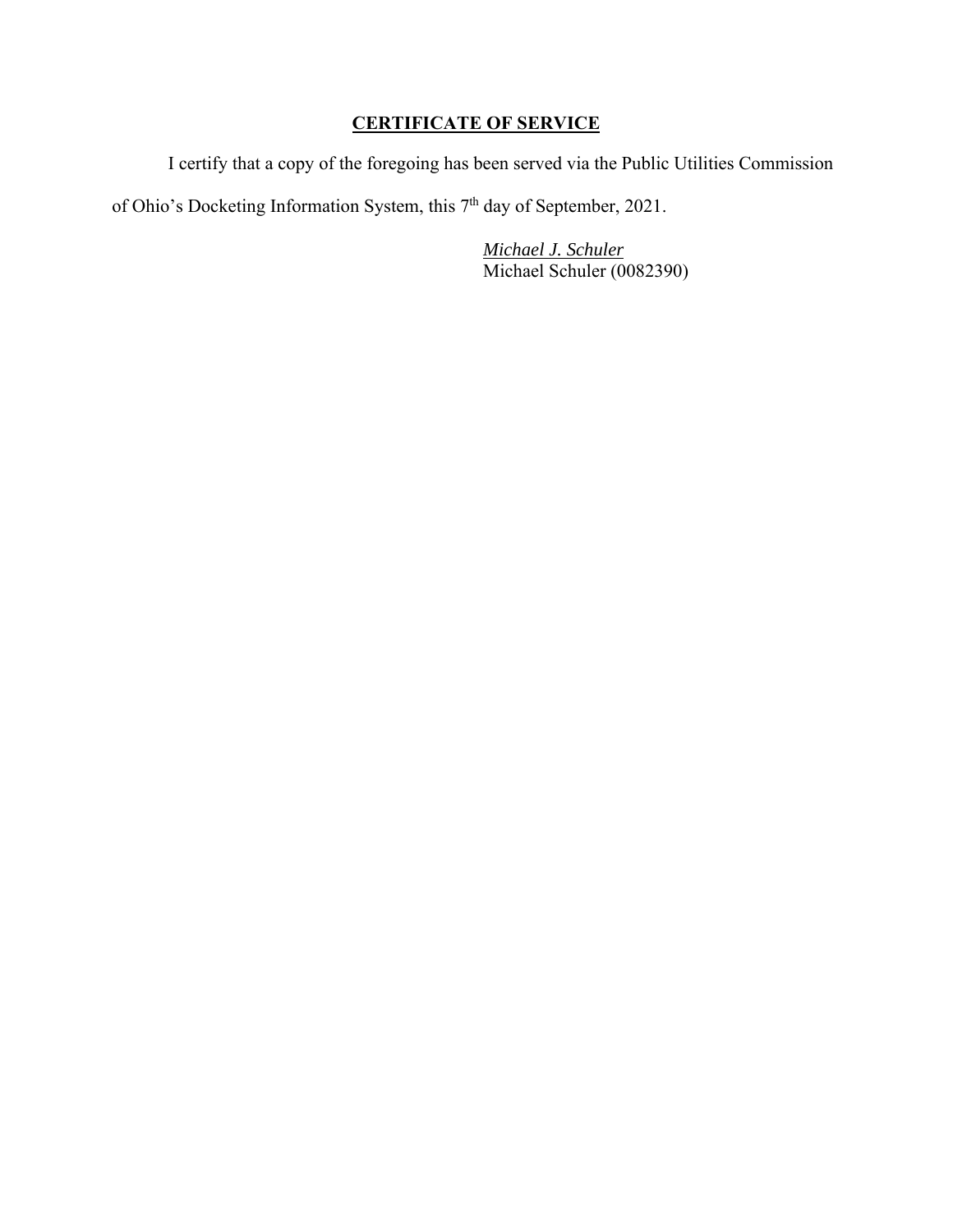## **CERTIFICATE OF SERVICE**

I certify that a copy of the foregoing has been served via the Public Utilities Commission

of Ohio's Docketing Information System, this 7<sup>th</sup> day of September, 2021.

*Michael J. Schuler* Michael Schuler (0082390)